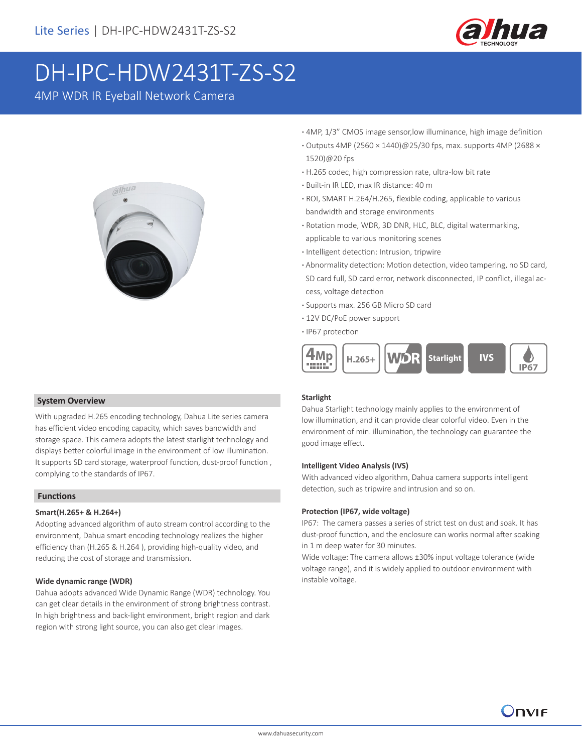

# DH-IPC-HDW2431T-ZS-S2

4MP WDR IR Eyeball Network Camera



- **·** 4MP, 1/3" CMOS image sensor,low illuminance, high image definition
- **·** Outputs 4MP (2560 × 1440)@25/30 fps, max. supports 4MP (2688 × 1520)@20 fps
- **·** H.265 codec, high compression rate, ultra-low bit rate
- **·** Built-in IR LED, max IR distance: 40 m
- **·** ROI, SMART H.264/H.265, flexible coding, applicable to various bandwidth and storage environments
- **·** Rotation mode, WDR, 3D DNR, HLC, BLC, digital watermarking, applicable to various monitoring scenes
- **·** Intelligent detection: Intrusion, tripwire
- **·** Abnormality detection: Motion detection, video tampering, no SD card, SD card full, SD card error, network disconnected, IP conflict, illegal ac cess, voltage detection
- **·** Supports max. 256 GB Micro SD card
- **·** 12V DC/PoE power support
- **·** IP67 protection



## **System Overview**

With upgraded H.265 encoding technology, Dahua Lite series camera has efficient video encoding capacity, which saves bandwidth and storage space. This camera adopts the latest starlight technology and displays better colorful image in the environment of low illumination. It supports SD card storage, waterproof function, dust-proof function , complying to the standards of IP67.

# **Functions**

## **Smart(H.265+ & H.264+)**

Adopting advanced algorithm of auto stream control according to the environment, Dahua smart encoding technology realizes the higher efficiency than (H.265 & H.264 ), providing high-quality video, and reducing the cost of storage and transmission.

## **Wide dynamic range (WDR)**

Dahua adopts advanced Wide Dynamic Range (WDR) technology. You can get clear details in the environment of strong brightness contrast. In high brightness and back-light environment, bright region and dark region with strong light source, you can also get clear images.

# **Starlight**

Dahua Starlight technology mainly applies to the environment of low illumination, and it can provide clear colorful video. Even in the environment of min. illumination, the technology can guarantee the good image effect.

#### **Intelligent Video Analysis (IVS)**

With advanced video algorithm, Dahua camera supports intelligent detection, such as tripwire and intrusion and so on.

#### **Protection (IP67, wide voltage)**

IP67: The camera passes a series of strict test on dust and soak. It has dust-proof function, and the enclosure can works normal after soaking in 1 m deep water for 30 minutes.

Wide voltage: The camera allows ±30% input voltage tolerance (wide voltage range), and it is widely applied to outdoor environment with instable voltage.

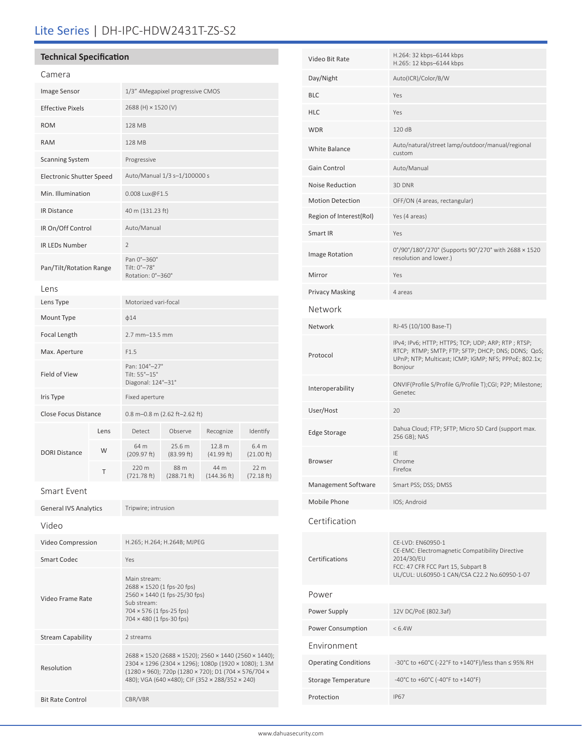# Lite Series | DH-IPC-HDW2431T-ZS-S2

# **Technical Specification**

Video Frame Rate

Resolution

Stream Capability 2 streams

Bit Rate Control CBR/VBR

| Camera                       |      |                                                      |                       |                      |                               |  |
|------------------------------|------|------------------------------------------------------|-----------------------|----------------------|-------------------------------|--|
| Image Sensor                 |      | 1/3" 4Megapixel progressive CMOS                     |                       |                      |                               |  |
| <b>Effective Pixels</b>      |      | 2688 (H) × 1520 (V)                                  |                       |                      |                               |  |
| <b>ROM</b>                   |      | 128 MB                                               |                       |                      |                               |  |
| <b>RAM</b>                   |      | 128 MB                                               |                       |                      |                               |  |
| <b>Scanning System</b>       |      | Progressive                                          |                       |                      |                               |  |
| Electronic Shutter Speed     |      | Auto/Manual 1/3 s-1/100000 s                         |                       |                      |                               |  |
| Min. Illumination            |      | 0.008 Lux@F1.5                                       |                       |                      |                               |  |
| <b>IR Distance</b>           |      | 40 m (131.23 ft)                                     |                       |                      |                               |  |
| IR On/Off Control            |      | Auto/Manual                                          |                       |                      |                               |  |
| <b>IR LEDs Number</b>        |      | $\overline{2}$                                       |                       |                      |                               |  |
| Pan/Tilt/Rotation Range      |      | Pan 0°-360°<br>Tilt: 0°-78°<br>Rotation: 0°-360°     |                       |                      |                               |  |
| Lens                         |      |                                                      |                       |                      |                               |  |
| Lens Type                    |      | Motorized vari-focal                                 |                       |                      |                               |  |
| Mount Type                   |      | $\phi$ 14                                            |                       |                      |                               |  |
| Focal Length                 |      | 2.7 mm-13.5 mm                                       |                       |                      |                               |  |
| Max. Aperture                |      | F1.5                                                 |                       |                      |                               |  |
| Field of View                |      | Pan: 104°-27°<br>Tilt: 55°-15°<br>Diagonal: 124°-31° |                       |                      |                               |  |
| Iris Type                    |      | Fixed aperture                                       |                       |                      |                               |  |
| <b>Close Focus Distance</b>  |      | 0.8 m-0.8 m (2.62 ft-2.62 ft)                        |                       |                      |                               |  |
|                              | Lens | Detect                                               | Observe               | Recognize            | Identify                      |  |
| <b>DORI Distance</b>         | W    | 64 m<br>(209.97 ft)                                  | 25.6 m<br>(83.99 ft)  | 12.8 m<br>(41.99 ft) | 6.4 m<br>$(21.00 \text{ ft})$ |  |
|                              | Τ    | 220 m<br>(721.78 ft)                                 | 88 m<br>$(288.71$ ft) | 44 m<br>(144.36 ft)  | 22 m<br>(72.18 ft)            |  |
| Smart Event                  |      |                                                      |                       |                      |                               |  |
| <b>General IVS Analytics</b> |      | Tripwire; intrusion                                  |                       |                      |                               |  |
| Video                        |      |                                                      |                       |                      |                               |  |
| Video Compression            |      | H.265; H.264; H.264B; MJPEG                          |                       |                      |                               |  |
| <b>Smart Codec</b>           |      | Yes                                                  |                       |                      |                               |  |
|                              |      | Main stream:<br>2688 × 1520 (1 fps-20 fps)           |                       |                      |                               |  |

2560 × 1440 (1 fps-25/30 fps)

2688 × 1520 (2688 × 1520); 2560 × 1440 (2560 × 1440); 2304 × 1296 (2304 × 1296); 1080p (1920 × 1080); 1.3M (1280 × 960); 720p (1280 × 720); D1 (704 × 576/704 × 480); VGA (640 ×480); CIF (352 × 288/352 × 240)

Sub stream: 704 × 576 (1 fps-25 fps) 704 × 480 (1 fps-30 fps)

|                             | H.265: 12 kbps-6144 kbps                                                                                                                                                     |  |
|-----------------------------|------------------------------------------------------------------------------------------------------------------------------------------------------------------------------|--|
| Day/Night                   | Auto(ICR)/Color/B/W                                                                                                                                                          |  |
| <b>BLC</b>                  | Yes                                                                                                                                                                          |  |
| <b>HLC</b>                  | Yes                                                                                                                                                                          |  |
| <b>WDR</b>                  | 120 dB                                                                                                                                                                       |  |
| White Balance               | Auto/natural/street lamp/outdoor/manual/regional<br>custom                                                                                                                   |  |
| Gain Control                | Auto/Manual                                                                                                                                                                  |  |
| Noise Reduction             | 3D DNR                                                                                                                                                                       |  |
| <b>Motion Detection</b>     | OFF/ON (4 areas, rectangular)                                                                                                                                                |  |
| Region of Interest(RoI)     | Yes (4 areas)                                                                                                                                                                |  |
| Smart IR                    | Yes                                                                                                                                                                          |  |
| Image Rotation              | 0°/90°/180°/270° (Supports 90°/270° with 2688 × 1520<br>resolution and lower.)                                                                                               |  |
| Mirror                      | Yes                                                                                                                                                                          |  |
| <b>Privacy Masking</b>      | 4 areas                                                                                                                                                                      |  |
| Network                     |                                                                                                                                                                              |  |
| Network                     | RJ-45 (10/100 Base-T)                                                                                                                                                        |  |
| Protocol                    | IPv4; IPv6; HTTP; HTTPS; TCP; UDP; ARP; RTP; RTSP;<br>RTCP; RTMP; SMTP; FTP; SFTP; DHCP; DNS; DDNS; QoS;<br>UPnP; NTP; Multicast; ICMP; IGMP; NFS; PPPoE; 802.1x;<br>Bonjour |  |
| Interoperability            | ONVIF(Profile S/Profile G/Profile T);CGI; P2P; Milestone;<br>Genetec                                                                                                         |  |
| User/Host                   | 20                                                                                                                                                                           |  |
| <b>Edge Storage</b>         | Dahua Cloud; FTP; SFTP; Micro SD Card (support max.<br>256 GB); NAS                                                                                                          |  |
| <b>Browser</b>              | IE<br>Chrome<br>Firefox                                                                                                                                                      |  |
| Management Software         | Smart PSS; DSS; DMSS                                                                                                                                                         |  |
| Mobile Phone                | IOS; Android                                                                                                                                                                 |  |
| Certification               |                                                                                                                                                                              |  |
| Certifications              | CE-LVD: EN60950-1<br>CE-EMC: Electromagnetic Compatibility Directive<br>2014/30/EU<br>FCC: 47 CFR FCC Part 15, Subpart B<br>UL/CUL: UL60950-1 CAN/CSA C22.2 No.60950-1-07    |  |
| Power                       |                                                                                                                                                                              |  |
| Power Supply                | 12V DC/PoE (802.3af)                                                                                                                                                         |  |
| Power Consumption           | < 6.4W                                                                                                                                                                       |  |
| Environment                 |                                                                                                                                                                              |  |
| <b>Operating Conditions</b> | -30°C to +60°C (-22°F to +140°F)/less than ≤ 95% RH                                                                                                                          |  |
| <b>Storage Temperature</b>  | -40°C to +60°C (-40°F to +140°F)                                                                                                                                             |  |
| Protection                  | <b>IP67</b>                                                                                                                                                                  |  |
|                             |                                                                                                                                                                              |  |

Video Bit Rate H.264: 32 kbps–6144 kbps